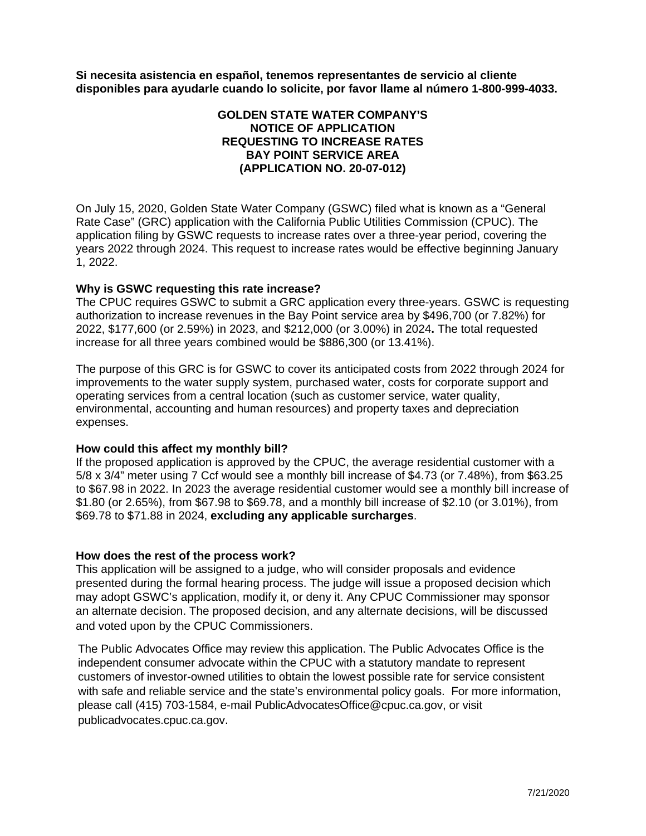**Si necesita asistencia en español, tenemos representantes de servicio al cliente disponibles para ayudarle cuando lo solicite, por favor llame al número 1-800-999-4033.**

# **GOLDEN STATE WATER COMPANY'S NOTICE OF APPLICATION REQUESTING TO INCREASE RATES BAY POINT SERVICE AREA (APPLICATION NO. 20-07-012)**

On July 15, 2020, Golden State Water Company (GSWC) filed what is known as a "General Rate Case" (GRC) application with the California Public Utilities Commission (CPUC). The application filing by GSWC requests to increase rates over a three-year period, covering the years 2022 through 2024. This request to increase rates would be effective beginning January 1, 2022.

### **Why is GSWC requesting this rate increase?**

The CPUC requires GSWC to submit a GRC application every three-years. GSWC is requesting authorization to increase revenues in the Bay Point service area by \$496,700 (or 7.82%) for 2022, \$177,600 (or 2.59%) in 2023, and \$212,000 (or 3.00%) in 2024**.** The total requested increase for all three years combined would be \$886,300 (or 13.41%).

The purpose of this GRC is for GSWC to cover its anticipated costs from 2022 through 2024 for improvements to the water supply system, purchased water, costs for corporate support and operating services from a central location (such as customer service, water quality, environmental, accounting and human resources) and property taxes and depreciation expenses.

### **How could this affect my monthly bill?**

If the proposed application is approved by the CPUC, the average residential customer with a 5/8 x 3/4" meter using 7 Ccf would see a monthly bill increase of \$4.73 (or 7.48%), from \$63.25 to \$67.98 in 2022. In 2023 the average residential customer would see a monthly bill increase of \$1.80 (or 2.65%), from \$67.98 to \$69.78, and a monthly bill increase of \$2.10 (or 3.01%), from \$69.78 to \$71.88 in 2024, **excluding any applicable surcharges**.

### **How does the rest of the process work?**

This application will be assigned to a judge, who will consider proposals and evidence presented during the formal hearing process. The judge will issue a proposed decision which may adopt GSWC's application, modify it, or deny it. Any CPUC Commissioner may sponsor an alternate decision. The proposed decision, and any alternate decisions, will be discussed and voted upon by the CPUC Commissioners.

The Public Advocates Office may review this application. The Public Advocates Office is the independent consumer advocate within the CPUC with a statutory mandate to represent customers of investor-owned utilities to obtain the lowest possible rate for service consistent with safe and reliable service and the state's environmental policy goals. For more information, please call (415) 703-1584, e-mail [PublicAdvocatesOffice@cpuc.ca.gov,](mailto:PublicAdvocatesOffice@cpuc.ca.gov) or visit [publicadvocates.cpuc.ca.gov.](http://www.publicadvocates.cpuc.ca.gov/)